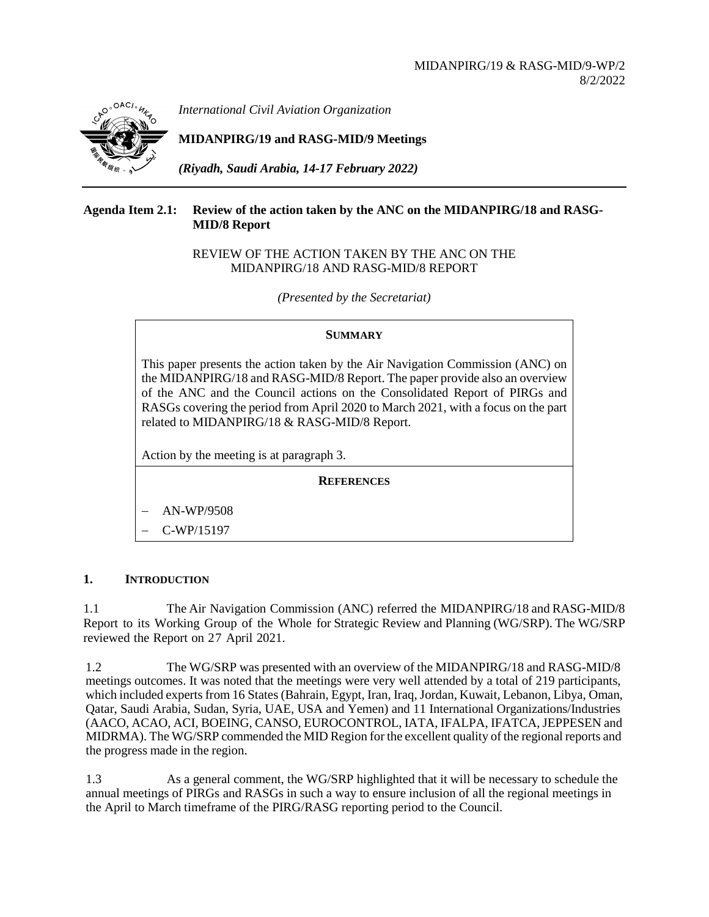

*International Civil Aviation Organization*

**MIDANPIRG/19 and RASG-MID/9 Meetings**

*(Riyadh, Saudi Arabia, 14-17 February 2022)*

# **Agenda Item 2.1: Review of the action taken by the ANC on the MIDANPIRG/18 and RASG-MID/8 Report**

## REVIEW OF THE ACTION TAKEN BY THE ANC ON THE MIDANPIRG/18 AND RASG-MID/8 REPORT

*(Presented by the Secretariat)*

# **SUMMARY**

This paper presents the action taken by the Air Navigation Commission (ANC) on the MIDANPIRG/18 and RASG-MID/8 Report. The paper provide also an overview of the ANC and the Council actions on the Consolidated Report of PIRGs and RASGs covering the period from April 2020 to March 2021, with a focus on the part related to MIDANPIRG/18 & RASG-MID/8 Report.

Action by the meeting is at paragraph 3.

**REFERENCES**

− AN-WP/9508

− C-WP/15197

# **1. INTRODUCTION**

1.1 The Air Navigation Commission (ANC) referred the MIDANPIRG/18 and RASG-MID/8 Report to its Working Group of the Whole for Strategic Review and Planning (WG/SRP). The WG/SRP reviewed the Report on 27 April 2021.

1.2 The WG/SRP was presented with an overview of the MIDANPIRG/18 and RASG-MID/8 meetings outcomes. It was noted that the meetings were very well attended by a total of 219 participants, which included experts from 16 States (Bahrain, Egypt, Iran, Iraq, Jordan, Kuwait, Lebanon, Libya, Oman, Qatar, Saudi Arabia, Sudan, Syria, UAE, USA and Yemen) and 11 International Organizations/Industries (AACO, ACAO, ACI, BOEING, CANSO, EUROCONTROL, IATA, IFALPA, IFATCA,JEPPESEN and MIDRMA). The WG/SRP commended the MID Region for the excellent quality of the regional reports and the progress made in the region.

1.3 As a general comment, the WG/SRP highlighted that it will be necessary to schedule the annual meetings of PIRGs and RASGs in such a way to ensure inclusion of all the regional meetings in the April to March timeframe of the PIRG/RASG reporting period to the Council.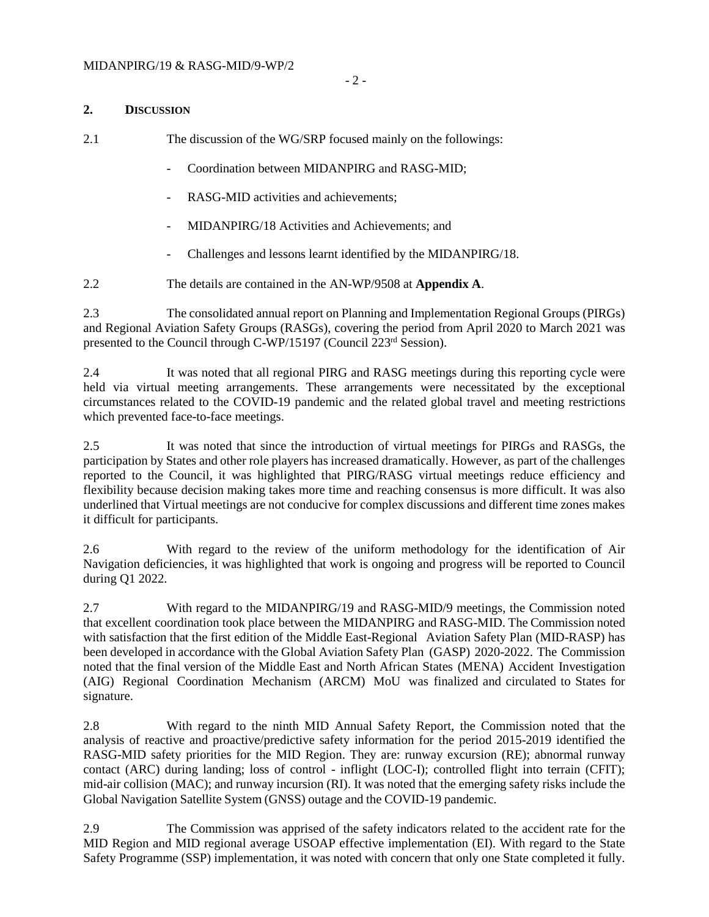#### **2. DISCUSSION**

2.1 The discussion of the WG/SRP focused mainly on the followings:

- Coordination between MIDANPIRG and RASG-MID;
- RASG-MID activities and achievements;
- MIDANPIRG/18 Activities and Achievements; and
- Challenges and lessons learnt identified by the MIDANPIRG/18.
- 2.2 The details are contained in the AN-WP/9508 at **Appendix A**.

2.3 The consolidated annual report on Planning and Implementation Regional Groups (PIRGs) and Regional Aviation Safety Groups (RASGs), covering the period from April 2020 to March 2021 was presented to the Council through C-WP/15197 (Council 223<sup>rd</sup> Session).

2.4 It was noted that all regional PIRG and RASG meetings during this reporting cycle were held via virtual meeting arrangements. These arrangements were necessitated by the exceptional circumstances related to the COVID-19 pandemic and the related global travel and meeting restrictions which prevented face-to-face meetings.

2.5 It was noted that since the introduction of virtual meetings for PIRGs and RASGs, the participation by States and other role players has increased dramatically. However, as part of the challenges reported to the Council, it was highlighted that PIRG/RASG virtual meetings reduce efficiency and flexibility because decision making takes more time and reaching consensus is more difficult. It was also underlined that Virtual meetings are not conducive for complex discussions and different time zones makes it difficult for participants.

2.6 With regard to the review of the uniform methodology for the identification of Air Navigation deficiencies, it was highlighted that work is ongoing and progress will be reported to Council during Q1 2022.

2.7 With regard to the MIDANPIRG/19 and RASG-MID/9 meetings, the Commission noted that excellent coordination took place between the MIDANPIRG and RASG-MID. The Commission noted with satisfaction that the first edition of the Middle East-Regional Aviation Safety Plan (MID-RASP) has been developed in accordance with the Global Aviation Safety Plan (GASP) 2020-2022. The Commission noted that the final version of the Middle East and North African States (MENA) Accident Investigation (AIG) Regional Coordination Mechanism (ARCM) MoU was finalized and circulated to States for signature.

2.8 With regard to the ninth MID Annual Safety Report, the Commission noted that the analysis of reactive and proactive/predictive safety information for the period 2015-2019 identified the RASG-MID safety priorities for the MID Region. They are: runway excursion (RE); abnormal runway contact (ARC) during landing; loss of control - inflight (LOC-I); controlled flight into terrain (CFIT); mid-air collision (MAC); and runway incursion (RI). It was noted that the emerging safety risks include the Global Navigation Satellite System (GNSS) outage and the COVID-19 pandemic.

2.9 The Commission was apprised of the safety indicators related to the accident rate for the MID Region and MID regional average USOAP effective implementation (EI). With regard to the State Safety Programme (SSP) implementation, it was noted with concern that only one State completed it fully.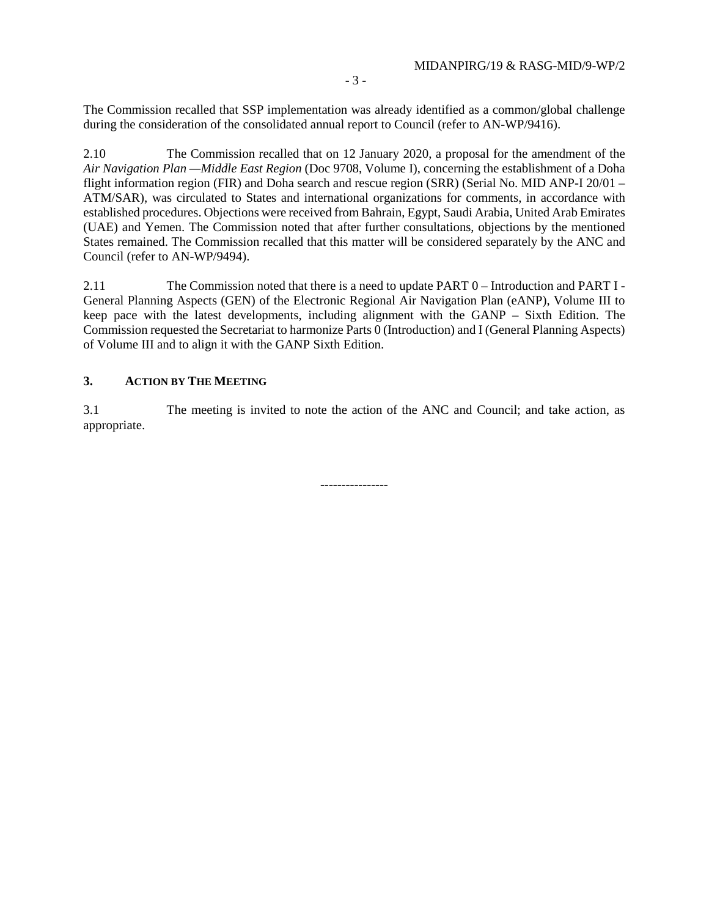The Commission recalled that SSP implementation was already identified as a common/global challenge during the consideration of the consolidated annual report to Council (refer to AN-WP/9416).

2.10 The Commission recalled that on 12 January 2020, a proposal for the amendment of the *Air Navigation Plan —Middle East Region* (Doc 9708, Volume I), concerning the establishment of a Doha flight information region (FIR) and Doha search and rescue region (SRR) (Serial No. MID ANP-I 20/01 – ATM/SAR), was circulated to States and international organizations for comments, in accordance with established procedures. Objections were received from Bahrain, Egypt, Saudi Arabia, United Arab Emirates (UAE) and Yemen. The Commission noted that after further consultations, objections by the mentioned States remained. The Commission recalled that this matter will be considered separately by the ANC and Council (refer to AN-WP/9494).

2.11 The Commission noted that there is a need to update PART 0 – Introduction and PART I - General Planning Aspects (GEN) of the Electronic Regional Air Navigation Plan (eANP), Volume III to keep pace with the latest developments, including alignment with the GANP – Sixth Edition. The Commission requested the Secretariat to harmonize Parts 0 (Introduction) and I (General Planning Aspects) of Volume III and to align it with the GANP Sixth Edition.

### **3. ACTION BY THE MEETING**

3.1 The meeting is invited to note the action of the ANC and Council; and take action, as appropriate.

----------------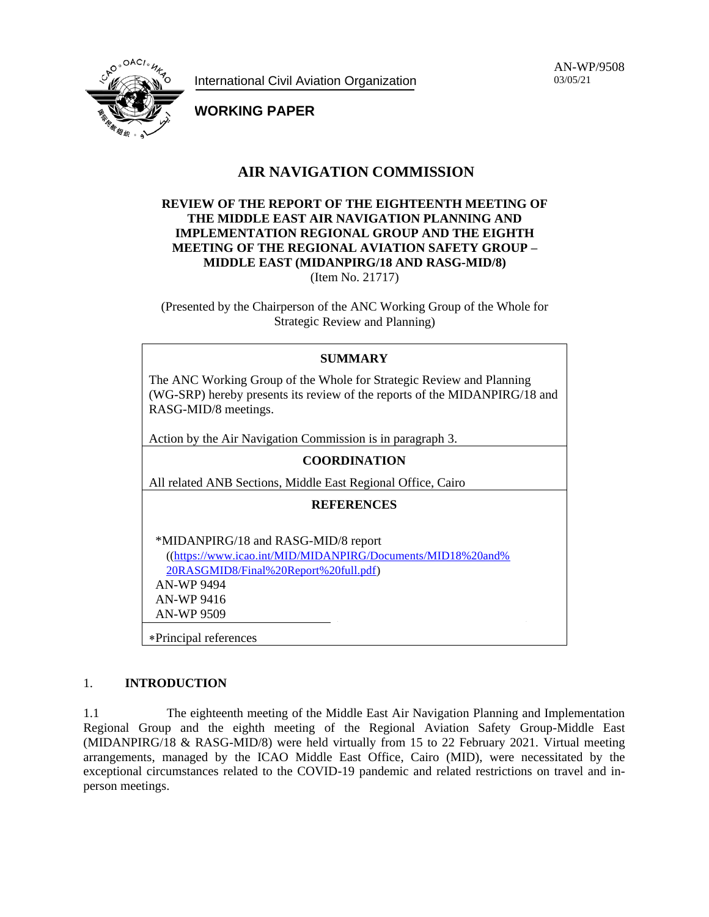International Civil Aviation Organization

AN-WP/9508 03/05/21



**WORKING PAPER**

# **AIR NAVIGATION COMMISSION**

# **REVIEW OF THE REPORT OF THE EIGHTEENTH MEETING OF THE MIDDLE EAST AIR NAVIGATION PLANNING AND IMPLEMENTATION REGIONAL GROUP AND THE EIGHTH MEETING OF THE REGIONAL AVIATION SAFETY GROUP – MIDDLE EAST (MIDANPIRG/18 AND RASG-MID/8)** (Item No. 21717)

(Presented by the Chairperson of the ANC Working Group of the Whole for Strategic Review and Planning)

| <b>SUMMARY</b>                                                                                                                                                                 |  |  |  |
|--------------------------------------------------------------------------------------------------------------------------------------------------------------------------------|--|--|--|
| The ANC Working Group of the Whole for Strategic Review and Planning<br>(WG-SRP) hereby presents its review of the reports of the MIDANPIRG/18 and<br>RASG-MID/8 meetings.     |  |  |  |
| Action by the Air Navigation Commission is in paragraph 3.                                                                                                                     |  |  |  |
| <b>COORDINATION</b>                                                                                                                                                            |  |  |  |
| All related ANB Sections, Middle East Regional Office, Cairo                                                                                                                   |  |  |  |
| <b>REFERENCES</b>                                                                                                                                                              |  |  |  |
| *MIDANPIRG/18 and RASG-MID/8 report<br>((https://www.icao.int/MID/MIDANPIRG/Documents/MID18%20and%<br>20RASGMID8/Final%20Report%20full.pdf)<br><b>AN-WP 9494</b><br>AN-WP 9416 |  |  |  |
| <b>AN-WP 9509</b>                                                                                                                                                              |  |  |  |
| *Principal references                                                                                                                                                          |  |  |  |

### 1. **INTRODUCTION**

1.1 The eighteenth meeting of the Middle East Air Navigation Planning and Implementation Regional Group and the eighth meeting of the Regional Aviation Safety Group-Middle East (MIDANPIRG/18 & RASG-MID/8) were held virtually from 15 to 22 February 2021. Virtual meeting arrangements, managed by the ICAO Middle East Office, Cairo (MID), were necessitated by the exceptional circumstances related to the COVID-19 pandemic and related restrictions on travel and inperson meetings.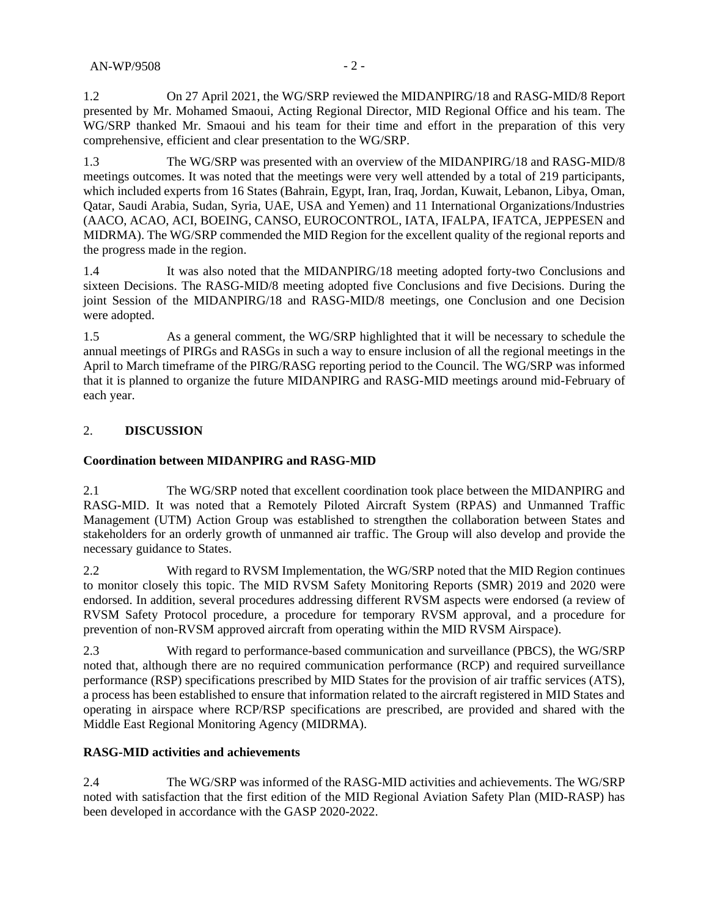1.2 On 27 April 2021, the WG/SRP reviewed the MIDANPIRG/18 and RASG-MID/8 Report presented by Mr. Mohamed Smaoui, Acting Regional Director, MID Regional Office and his team. The WG/SRP thanked Mr. Smaoui and his team for their time and effort in the preparation of this very comprehensive, efficient and clear presentation to the WG/SRP.

1.3 The WG/SRP was presented with an overview of the MIDANPIRG/18 and RASG-MID/8 meetings outcomes. It was noted that the meetings were very well attended by a total of 219 participants, which included experts from 16 States (Bahrain, Egypt, Iran, Iraq, Jordan, Kuwait, Lebanon, Libya, Oman, Qatar, Saudi Arabia, Sudan, Syria, UAE, USA and Yemen) and 11 International Organizations/Industries (AACO, ACAO, ACI, BOEING, CANSO, EUROCONTROL, IATA, IFALPA, IFATCA, JEPPESEN and MIDRMA). The WG/SRP commended the MID Region for the excellent quality of the regional reports and the progress made in the region.

1.4 It was also noted that the MIDANPIRG/18 meeting adopted forty-two Conclusions and sixteen Decisions. The RASG-MID/8 meeting adopted five Conclusions and five Decisions. During the joint Session of the MIDANPIRG/18 and RASG-MID/8 meetings, one Conclusion and one Decision were adopted.

1.5 As a general comment, the WG/SRP highlighted that it will be necessary to schedule the annual meetings of PIRGs and RASGs in such a way to ensure inclusion of all the regional meetings in the April to March timeframe of the PIRG/RASG reporting period to the Council. The WG/SRP was informed that it is planned to organize the future MIDANPIRG and RASG-MID meetings around mid-February of each year.

# 2. **DISCUSSION**

### **Coordination between MIDANPIRG and RASG-MID**

2.1 The WG/SRP noted that excellent coordination took place between the MIDANPIRG and RASG-MID. It was noted that a Remotely Piloted Aircraft System (RPAS) and Unmanned Traffic Management (UTM) Action Group was established to strengthen the collaboration between States and stakeholders for an orderly growth of unmanned air traffic. The Group will also develop and provide the necessary guidance to States.

2.2 With regard to RVSM Implementation, the WG/SRP noted that the MID Region continues to monitor closely this topic. The MID RVSM Safety Monitoring Reports (SMR) 2019 and 2020 were endorsed. In addition, several procedures addressing different RVSM aspects were endorsed (a review of RVSM Safety Protocol procedure, a procedure for temporary RVSM approval, and a procedure for prevention of non-RVSM approved aircraft from operating within the MID RVSM Airspace).

2.3 With regard to performance-based communication and surveillance (PBCS), the WG/SRP noted that, although there are no required communication performance (RCP) and required surveillance performance (RSP) specifications prescribed by MID States for the provision of air traffic services (ATS), a process has been established to ensure that information related to the aircraft registered in MID States and operating in airspace where RCP/RSP specifications are prescribed, are provided and shared with the Middle East Regional Monitoring Agency (MIDRMA).

### **RASG-MID activities and achievements**

2.4 The WG/SRP was informed of the RASG-MID activities and achievements. The WG/SRP noted with satisfaction that the first edition of the MID Regional Aviation Safety Plan (MID-RASP) has been developed in accordance with the GASP 2020-2022.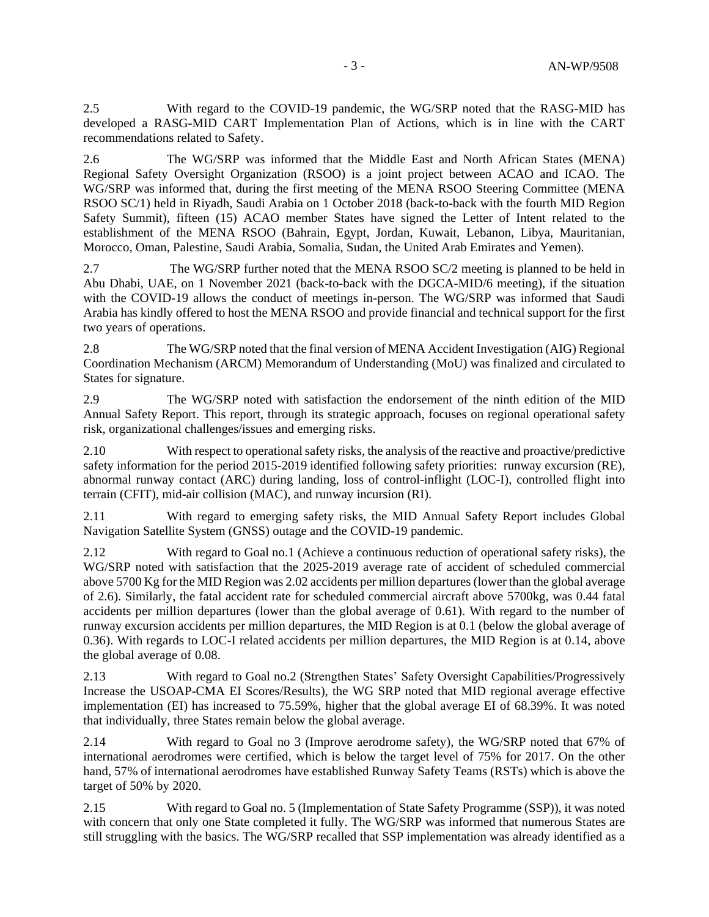2.5 With regard to the COVID-19 pandemic, the WG/SRP noted that the RASG-MID has developed a RASG-MID CART Implementation Plan of Actions, which is in line with the CART recommendations related to Safety.

2.6 The WG/SRP was informed that the Middle East and North African States (MENA) Regional Safety Oversight Organization (RSOO) is a joint project between ACAO and ICAO. The WG/SRP was informed that, during the first meeting of the MENA RSOO Steering Committee (MENA RSOO SC/1) held in Riyadh, Saudi Arabia on 1 October 2018 (back-to-back with the fourth MID Region Safety Summit), fifteen (15) ACAO member States have signed the Letter of Intent related to the establishment of the MENA RSOO (Bahrain, Egypt, Jordan, Kuwait, Lebanon, Libya, Mauritanian, Morocco, Oman, Palestine, Saudi Arabia, Somalia, Sudan, the United Arab Emirates and Yemen).

2.7 The WG/SRP further noted that the MENA RSOO SC/2 meeting is planned to be held in Abu Dhabi, UAE, on 1 November 2021 (back-to-back with the DGCA-MID/6 meeting), if the situation with the COVID-19 allows the conduct of meetings in-person. The WG/SRP was informed that Saudi Arabia has kindly offered to host the MENA RSOO and provide financial and technical support for the first two years of operations.

2.8 The WG/SRP noted that the final version of MENA Accident Investigation (AIG) Regional Coordination Mechanism (ARCM) Memorandum of Understanding (MoU) was finalized and circulated to States for signature.

2.9 The WG/SRP noted with satisfaction the endorsement of the ninth edition of the MID Annual Safety Report. This report, through its strategic approach, focuses on regional operational safety risk, organizational challenges/issues and emerging risks.

2.10 With respect to operational safety risks, the analysis of the reactive and proactive/predictive safety information for the period 2015-2019 identified following safety priorities: runway excursion (RE), abnormal runway contact (ARC) during landing, loss of control-inflight (LOC-I), controlled flight into terrain (CFIT), mid-air collision (MAC), and runway incursion (RI).

2.11 With regard to emerging safety risks, the MID Annual Safety Report includes Global Navigation Satellite System (GNSS) outage and the COVID-19 pandemic.

2.12 With regard to Goal no.1 (Achieve a continuous reduction of operational safety risks), the WG/SRP noted with satisfaction that the 2025-2019 average rate of accident of scheduled commercial above 5700 Kg for the MID Region was 2.02 accidents per million departures (lower than the global average of 2.6). Similarly, the fatal accident rate for scheduled commercial aircraft above 5700kg, was 0.44 fatal accidents per million departures (lower than the global average of 0.61). With regard to the number of runway excursion accidents per million departures, the MID Region is at 0.1 (below the global average of 0.36). With regards to LOC-I related accidents per million departures, the MID Region is at 0.14, above the global average of 0.08.

2.13 With regard to Goal no.2 (Strengthen States' Safety Oversight Capabilities/Progressively Increase the USOAP-CMA EI Scores/Results), the WG SRP noted that MID regional average effective implementation (EI) has increased to 75.59%, higher that the global average EI of 68.39%. It was noted that individually, three States remain below the global average.

2.14 With regard to Goal no 3 (Improve aerodrome safety), the WG/SRP noted that 67% of international aerodromes were certified, which is below the target level of 75% for 2017. On the other hand, 57% of international aerodromes have established Runway Safety Teams (RSTs) which is above the target of 50% by 2020.

2.15 With regard to Goal no. 5 (Implementation of State Safety Programme (SSP)), it was noted with concern that only one State completed it fully. The WG/SRP was informed that numerous States are still struggling with the basics. The WG/SRP recalled that SSP implementation was already identified as a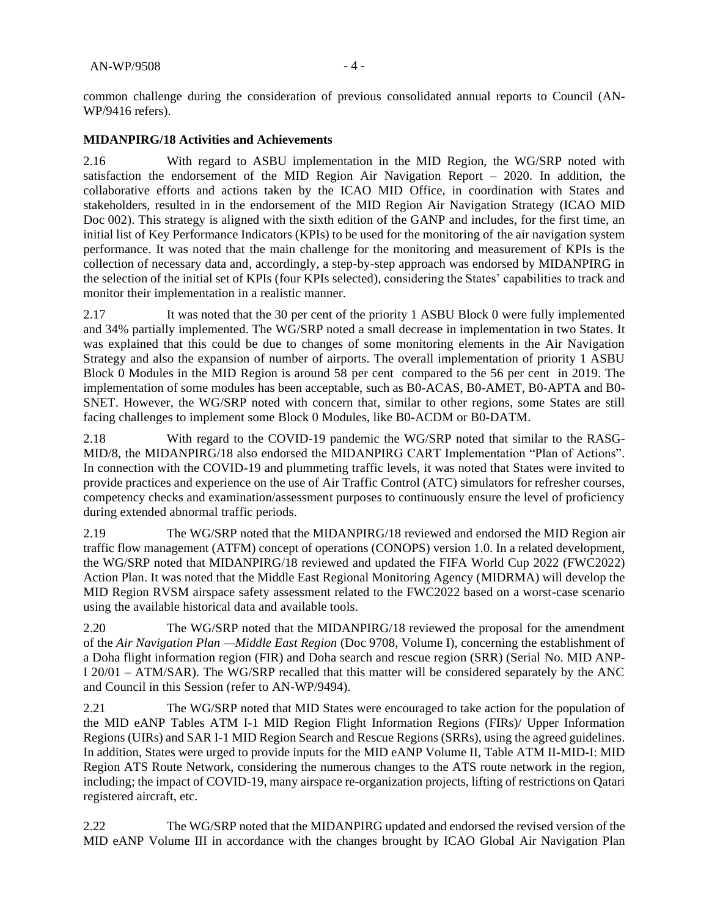common challenge during the consideration of previous consolidated annual reports to Council (AN-WP/9416 refers).

#### **MIDANPIRG/18 Activities and Achievements**

2.16 With regard to ASBU implementation in the MID Region, the WG/SRP noted with satisfaction the endorsement of the MID Region Air Navigation Report – 2020. In addition, the collaborative efforts and actions taken by the ICAO MID Office, in coordination with States and stakeholders, resulted in in the endorsement of the MID Region Air Navigation Strategy (ICAO MID Doc 002). This strategy is aligned with the sixth edition of the GANP and includes, for the first time, an initial list of Key Performance Indicators (KPIs) to be used for the monitoring of the air navigation system performance. It was noted that the main challenge for the monitoring and measurement of KPIs is the collection of necessary data and, accordingly, a step-by-step approach was endorsed by MIDANPIRG in the selection of the initial set of KPIs (four KPIs selected), considering the States' capabilities to track and monitor their implementation in a realistic manner.

2.17 It was noted that the 30 per cent of the priority 1 ASBU Block 0 were fully implemented and 34% partially implemented. The WG/SRP noted a small decrease in implementation in two States. It was explained that this could be due to changes of some monitoring elements in the Air Navigation Strategy and also the expansion of number of airports. The overall implementation of priority 1 ASBU Block 0 Modules in the MID Region is around 58 per cent compared to the 56 per cent in 2019. The implementation of some modules has been acceptable, such as B0-ACAS, B0-AMET, B0-APTA and B0- SNET. However, the WG/SRP noted with concern that, similar to other regions, some States are still facing challenges to implement some Block 0 Modules, like B0-ACDM or B0-DATM.

2.18 With regard to the COVID-19 pandemic the WG/SRP noted that similar to the RASG-MID/8, the MIDANPIRG/18 also endorsed the MIDANPIRG CART Implementation "Plan of Actions". In connection with the COVID-19 and plummeting traffic levels, it was noted that States were invited to provide practices and experience on the use of Air Traffic Control (ATC) simulators for refresher courses, competency checks and examination/assessment purposes to continuously ensure the level of proficiency during extended abnormal traffic periods.

2.19 The WG/SRP noted that the MIDANPIRG/18 reviewed and endorsed the MID Region air traffic flow management (ATFM) concept of operations (CONOPS) version 1.0. In a related development, the WG/SRP noted that MIDANPIRG/18 reviewed and updated the FIFA World Cup 2022 (FWC2022) Action Plan. It was noted that the Middle East Regional Monitoring Agency (MIDRMA) will develop the MID Region RVSM airspace safety assessment related to the FWC2022 based on a worst-case scenario using the available historical data and available tools.

2.20 The WG/SRP noted that the MIDANPIRG/18 reviewed the proposal for the amendment of the *Air Navigation Plan —Middle East Region* (Doc 9708, Volume I), concerning the establishment of a Doha flight information region (FIR) and Doha search and rescue region (SRR) (Serial No. MID ANP-I 20/01 – ATM/SAR). The WG/SRP recalled that this matter will be considered separately by the ANC and Council in this Session (refer to AN-WP/9494).

2.21 The WG/SRP noted that MID States were encouraged to take action for the population of the MID eANP Tables ATM I-1 MID Region Flight Information Regions (FIRs)/ Upper Information Regions (UIRs) and SAR I-1 MID Region Search and Rescue Regions (SRRs), using the agreed guidelines. In addition, States were urged to provide inputs for the MID eANP Volume II, Table ATM II-MID-I: MID Region ATS Route Network, considering the numerous changes to the ATS route network in the region, including; the impact of COVID-19, many airspace re-organization projects, lifting of restrictions on Qatari registered aircraft, etc.

2.22 The WG/SRP noted that the MIDANPIRG updated and endorsed the revised version of the MID eANP Volume III in accordance with the changes brought by ICAO Global Air Navigation Plan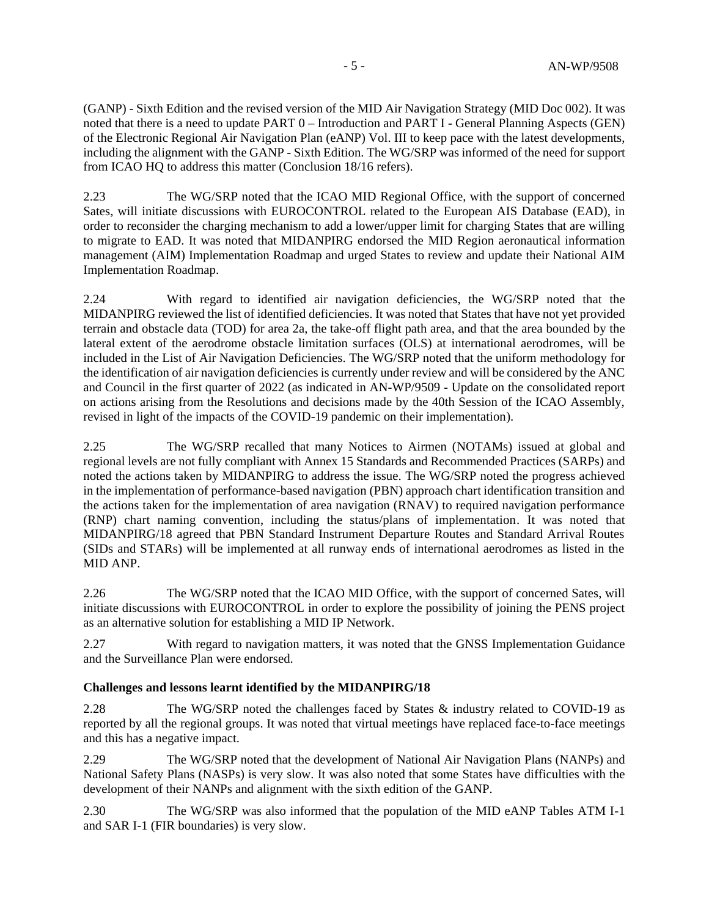(GANP) - Sixth Edition and the revised version of the MID Air Navigation Strategy (MID Doc 002). It was noted that there is a need to update PART 0 – Introduction and PART I - General Planning Aspects (GEN) of the Electronic Regional Air Navigation Plan (eANP) Vol. III to keep pace with the latest developments, including the alignment with the GANP - Sixth Edition. The WG/SRP was informed of the need for support from ICAO HQ to address this matter (Conclusion 18/16 refers).

2.23 The WG/SRP noted that the ICAO MID Regional Office, with the support of concerned Sates, will initiate discussions with EUROCONTROL related to the European AIS Database (EAD), in order to reconsider the charging mechanism to add a lower/upper limit for charging States that are willing to migrate to EAD. It was noted that MIDANPIRG endorsed the MID Region aeronautical information management (AIM) Implementation Roadmap and urged States to review and update their National AIM Implementation Roadmap.

2.24 With regard to identified air navigation deficiencies, the WG/SRP noted that the MIDANPIRG reviewed the list of identified deficiencies. It was noted that States that have not yet provided terrain and obstacle data (TOD) for area 2a, the take-off flight path area, and that the area bounded by the lateral extent of the aerodrome obstacle limitation surfaces (OLS) at international aerodromes, will be included in the List of Air Navigation Deficiencies. The WG/SRP noted that the uniform methodology for the identification of air navigation deficiencies is currently under review and will be considered by the ANC and Council in the first quarter of 2022 (as indicated in AN-WP/9509 - Update on the consolidated report on actions arising from the Resolutions and decisions made by the 40th Session of the ICAO Assembly, revised in light of the impacts of the COVID-19 pandemic on their implementation).

2.25 The WG/SRP recalled that many Notices to Airmen (NOTAMs) issued at global and regional levels are not fully compliant with Annex 15 Standards and Recommended Practices (SARPs) and noted the actions taken by MIDANPIRG to address the issue. The WG/SRP noted the progress achieved in the implementation of performance-based navigation (PBN) approach chart identification transition and the actions taken for the implementation of area navigation (RNAV) to required navigation performance (RNP) chart naming convention, including the status/plans of implementation. It was noted that MIDANPIRG/18 agreed that PBN Standard Instrument Departure Routes and Standard Arrival Routes (SIDs and STARs) will be implemented at all runway ends of international aerodromes as listed in the MID ANP.

2.26 The WG/SRP noted that the ICAO MID Office, with the support of concerned Sates, will initiate discussions with EUROCONTROL in order to explore the possibility of joining the PENS project as an alternative solution for establishing a MID IP Network.

2.27 With regard to navigation matters, it was noted that the GNSS Implementation Guidance and the Surveillance Plan were endorsed.

### **Challenges and lessons learnt identified by the MIDANPIRG/18**

2.28 The WG/SRP noted the challenges faced by States & industry related to COVID-19 as reported by all the regional groups. It was noted that virtual meetings have replaced face-to-face meetings and this has a negative impact.

2.29 The WG/SRP noted that the development of National Air Navigation Plans (NANPs) and National Safety Plans (NASPs) is very slow. It was also noted that some States have difficulties with the development of their NANPs and alignment with the sixth edition of the GANP.

2.30 The WG/SRP was also informed that the population of the MID eANP Tables ATM I-1 and SAR I-1 (FIR boundaries) is very slow.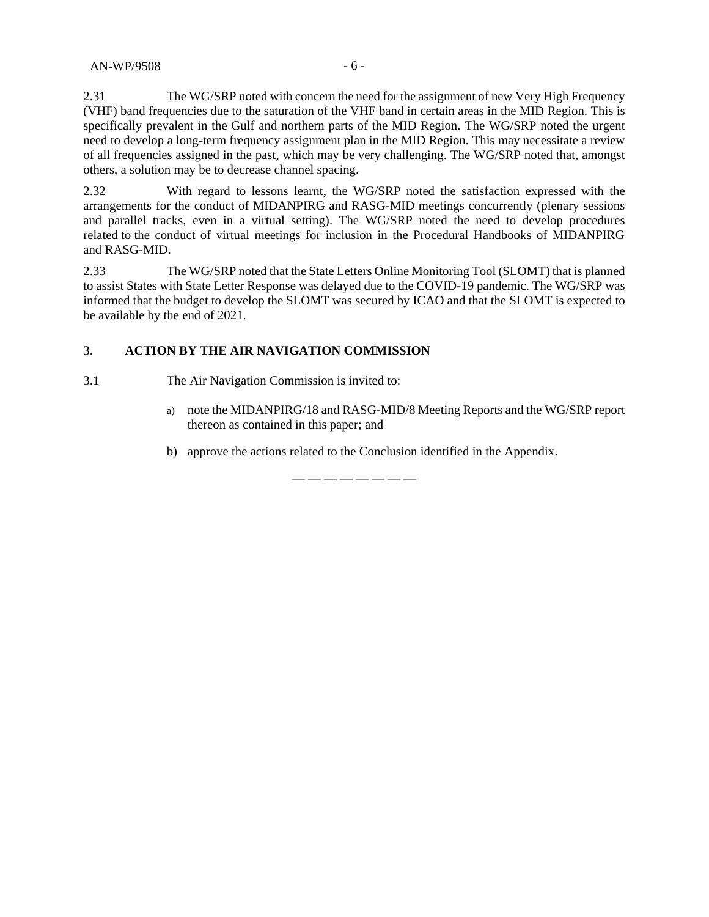2.31 The WG/SRP noted with concern the need for the assignment of new Very High Frequency (VHF) band frequencies due to the saturation of the VHF band in certain areas in the MID Region. This is specifically prevalent in the Gulf and northern parts of the MID Region. The WG/SRP noted the urgent need to develop a long-term frequency assignment plan in the MID Region. This may necessitate a review of all frequencies assigned in the past, which may be very challenging. The WG/SRP noted that, amongst others, a solution may be to decrease channel spacing.

2.32 With regard to lessons learnt, the WG/SRP noted the satisfaction expressed with the arrangements for the conduct of MIDANPIRG and RASG-MID meetings concurrently (plenary sessions and parallel tracks, even in a virtual setting). The WG/SRP noted the need to develop procedures related to the conduct of virtual meetings for inclusion in the Procedural Handbooks of MIDANPIRG and RASG-MID.

2.33 The WG/SRP noted that the State Letters Online Monitoring Tool (SLOMT) that is planned to assist States with State Letter Response was delayed due to the COVID-19 pandemic. The WG/SRP was informed that the budget to develop the SLOMT was secured by ICAO and that the SLOMT is expected to be available by the end of 2021.

#### 3. **ACTION BY THE AIR NAVIGATION COMMISSION**

- 3.1 The Air Navigation Commission is invited to:
	- a) note the MIDANPIRG/18 and RASG-MID/8 Meeting Reports and the WG/SRP report thereon as contained in this paper; and
	- b) approve the actions related to the Conclusion identified in the Appendix.

— — — — — — — —